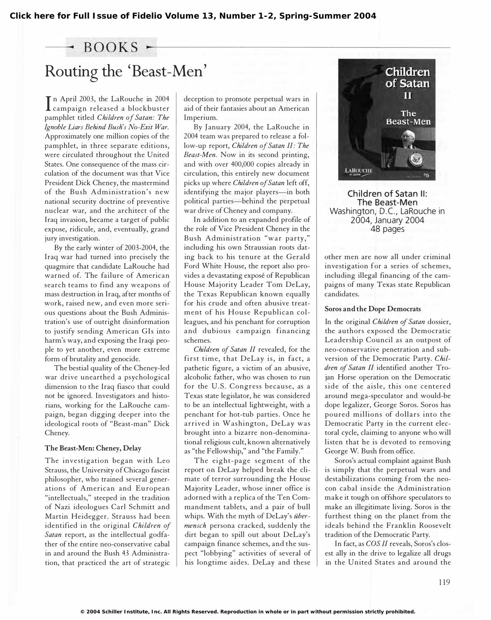### $-$  BOOKS  $-$

# Routing the 'Beast-Men'

In April 2005, the LaKouche in 2007 In April 2003, the LaRouche in 2004 pamphlet titled Children of Satan: The Ignoble Liars Behind Bush's No-Exit War. Approximately one million copies of the pamphlet, in three separate editions, were circulated throughout the United States. One consequence of the mass circulation of the document was that Vice President Dick Cheney, the mastermind of the Bush Administration 's new national security doctrine of preventive nuclear war, and the architect of the Iraq invasion, became a target of public expose, ridicule, and, eventually, grand jury investigation.

By the early winter of 2003-2004, the Iraq war had turned into precisely the quagmire that candidate LaRouche had warned of. The failure of American search teams to find any weapons of mass destruction in Iraq, after months of work, raised new, and even more serious questions about the Bush Administration's use of outright disinformation to justify sending American GIs into harm's way, and exposing the Iraqi people to yet another, even more extreme form of brutality and genocide.

The bestial quality of the Cheney-led war drive unearthed a psychological dimension to the Iraq fiasco that could not be ignored. Investigators and historians, working for the LaRouche campaign, began digging deeper into the ideological roots of "Beast-man" Dick Cheney.

#### The Beast-Men: Cheney, Delay

The investigation began with Leo Strauss, the University of Chicago fascist philosopher, who trained several generations of American and European "intellectuals," steeped in the tradition of Nazi ideologues Carl Schmitt and Martin Heidegger. Strauss had been identified in the original Children of Satan report, as the intellectual godfather of the entire neo-conservative cabal in and around the Bush 43 Administration, that practiced the art of strategic

deception to promote perpetual wars in aid of their fantasies about an American Imperium.

By January 2004, the LaRouche in 2004 team was prepared to release a follow-up report, Children of Satan II: The Beast-Men. Now in its second printing, and with over 400,000 copies already in circulation, this entirely new document picks up where Children of Satan left off, identifying the major players-in both political parties-behind the perpetual war drive of Cheney and company.

In addition to an expanded profile of the role of Vice President Cheney in the Bush Administration "war party," including his own Straussian roots dating back to his tenure at the Gerald Ford White House, the report also provides a devastating expose of Republican House Majority Leader Tom DeLay, the Texas Republican known equally for his crude and often abusive treatment of his House Republican colleagues, and his penchant for corruption and dubious campaign financing schemes.

Children of Satan II revealed, for the first time, that DeLay is, in fact, a pathetic figure, a victim of an abusive, alcoholic father, who was chosen to run for the U.S. Congress because, as a Texas state legislator, he was considered to be an intellectual lightweight, with a penchant for hot-tub parties. Once he arrived in Washington, DeLay was brought into a bizarre non-denominational religious cult, known alternatively as "the Fellowship," and "the Family."

The eight-page segment of the report on DeLay helped break the climate of terror surrounding the House Majority Leader, whose inner office is adorned with a replica of the Ten Commandment tablets, and a pair of bull whips. With the myth of DeLay's übermensch persona cracked, suddenly the dirt began to spill out about DeLay's campaign finance schemes, and the suspect "lobbying" activities of several of his longtime aides. DeLay and these



Children of Satan II: The Beast-Men Washington, D.C., La Rouche in 2004, January 2004 48 pages

other men are now all under criminal investigation for a series of schemes, including illegal financing of the campaigns of many Texas state Republican candidates.

#### Soros and the Dope Democrats

In the original Children of Satan dossier, the authors exposed the Democratic Leadership Council as an outpost of neo-conservative penetration and subversion of the Democratic Party. Children of Satan II identified another Trojan Horse operation on the Democratic side of the aisle, this one centered around mega-speculator and would-be dope legalizer, George Soros. Soros has poured millions of dollars into the Democratic Party in the current electoral cycle, claiming to anyone who will listen that he is devoted to removing George W. Bush from office.

Soros's actual complaint against Bush is simply that the perpetual wars and destabilizations coming from the neocon cabal inside the Administration make it tough on offshore speculators to make an illegitimate living. Soros is the furthest thing on the planet from the ideals behind the Franklin Roosevelt tradition of the Democratic Party.

In fact, as COS II reveals, Soros's closest ally in the drive to legalize all drugs in the United States and around the